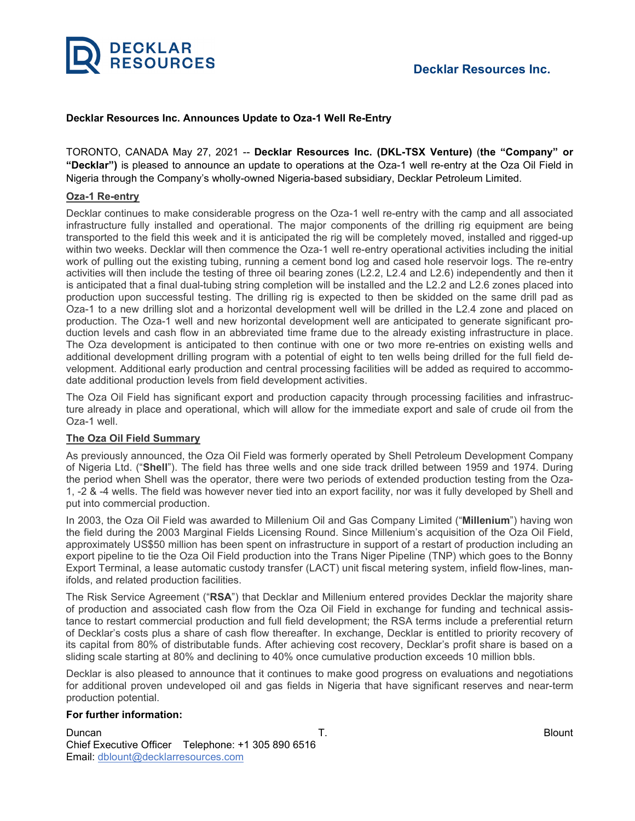

## **Decklar Resources Inc. Announces Update to Oza-1 Well Re-Entry**

TORONTO, CANADA May 27, 2021 -- **Decklar Resources Inc. (DKL-TSX Venture)** (**the "Company" or "Decklar")** is pleased to announce an update to operations at the Oza-1 well re-entry at the Oza Oil Field in Nigeria through the Company's wholly-owned Nigeria-based subsidiary, Decklar Petroleum Limited.

### **Oza-1 Re-entry**

Decklar continues to make considerable progress on the Oza-1 well re-entry with the camp and all associated infrastructure fully installed and operational. The major components of the drilling rig equipment are being transported to the field this week and it is anticipated the rig will be completely moved, installed and rigged-up within two weeks. Decklar will then commence the Oza-1 well re-entry operational activities including the initial work of pulling out the existing tubing, running a cement bond log and cased hole reservoir logs. The re-entry activities will then include the testing of three oil bearing zones (L2.2, L2.4 and L2.6) independently and then it is anticipated that a final dual-tubing string completion will be installed and the L2.2 and L2.6 zones placed into production upon successful testing. The drilling rig is expected to then be skidded on the same drill pad as Oza-1 to a new drilling slot and a horizontal development well will be drilled in the L2.4 zone and placed on production. The Oza-1 well and new horizontal development well are anticipated to generate significant production levels and cash flow in an abbreviated time frame due to the already existing infrastructure in place. The Oza development is anticipated to then continue with one or two more re-entries on existing wells and additional development drilling program with a potential of eight to ten wells being drilled for the full field development. Additional early production and central processing facilities will be added as required to accommodate additional production levels from field development activities.

The Oza Oil Field has significant export and production capacity through processing facilities and infrastructure already in place and operational, which will allow for the immediate export and sale of crude oil from the Oza-1 well.

### **The Oza Oil Field Summary**

As previously announced, the Oza Oil Field was formerly operated by Shell Petroleum Development Company of Nigeria Ltd. ("**Shell**"). The field has three wells and one side track drilled between 1959 and 1974. During the period when Shell was the operator, there were two periods of extended production testing from the Oza-1, -2 & -4 wells. The field was however never tied into an export facility, nor was it fully developed by Shell and put into commercial production.

In 2003, the Oza Oil Field was awarded to Millenium Oil and Gas Company Limited ("**Millenium**") having won the field during the 2003 Marginal Fields Licensing Round. Since Millenium's acquisition of the Oza Oil Field, approximately US\$50 million has been spent on infrastructure in support of a restart of production including an export pipeline to tie the Oza Oil Field production into the Trans Niger Pipeline (TNP) which goes to the Bonny Export Terminal, a lease automatic custody transfer (LACT) unit fiscal metering system, infield flow-lines, manifolds, and related production facilities.

The Risk Service Agreement ("**RSA**") that Decklar and Millenium entered provides Decklar the majority share of production and associated cash flow from the Oza Oil Field in exchange for funding and technical assistance to restart commercial production and full field development; the RSA terms include a preferential return of Decklar's costs plus a share of cash flow thereafter. In exchange, Decklar is entitled to priority recovery of its capital from 80% of distributable funds. After achieving cost recovery, Decklar's profit share is based on a sliding scale starting at 80% and declining to 40% once cumulative production exceeds 10 million bbls.

Decklar is also pleased to announce that it continues to make good progress on evaluations and negotiations for additional proven undeveloped oil and gas fields in Nigeria that have significant reserves and near-term production potential.

#### **For further information:**

Duncan T. Blount Chief Executive Officer Telephone: +1 305 890 6516 Email: [dblount@decklarresources.com](mailto:dblount@decklarresources.com)